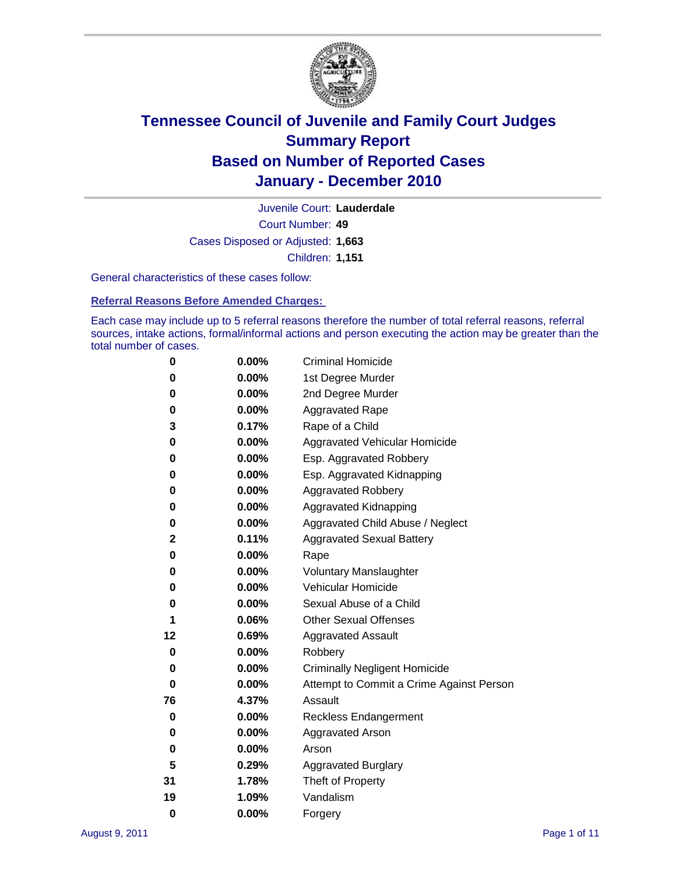

Court Number: **49** Juvenile Court: **Lauderdale** Cases Disposed or Adjusted: **1,663** Children: **1,151**

General characteristics of these cases follow:

**Referral Reasons Before Amended Charges:** 

Each case may include up to 5 referral reasons therefore the number of total referral reasons, referral sources, intake actions, formal/informal actions and person executing the action may be greater than the total number of cases.

| 0  | 0.00%    | <b>Criminal Homicide</b>                 |
|----|----------|------------------------------------------|
| 0  | 0.00%    | 1st Degree Murder                        |
| 0  | 0.00%    | 2nd Degree Murder                        |
| 0  | 0.00%    | <b>Aggravated Rape</b>                   |
| 3  | 0.17%    | Rape of a Child                          |
| 0  | 0.00%    | Aggravated Vehicular Homicide            |
| 0  | 0.00%    | Esp. Aggravated Robbery                  |
| 0  | 0.00%    | Esp. Aggravated Kidnapping               |
| 0  | 0.00%    | <b>Aggravated Robbery</b>                |
| 0  | 0.00%    | Aggravated Kidnapping                    |
| 0  | 0.00%    | Aggravated Child Abuse / Neglect         |
| 2  | 0.11%    | <b>Aggravated Sexual Battery</b>         |
| 0  | 0.00%    | Rape                                     |
| 0  | 0.00%    | <b>Voluntary Manslaughter</b>            |
| 0  | 0.00%    | Vehicular Homicide                       |
| 0  | 0.00%    | Sexual Abuse of a Child                  |
| 1  | 0.06%    | <b>Other Sexual Offenses</b>             |
| 12 | 0.69%    | <b>Aggravated Assault</b>                |
| 0  | $0.00\%$ | Robbery                                  |
| 0  | 0.00%    | <b>Criminally Negligent Homicide</b>     |
| 0  | 0.00%    | Attempt to Commit a Crime Against Person |
| 76 | 4.37%    | Assault                                  |
| 0  | 0.00%    | <b>Reckless Endangerment</b>             |
| 0  | 0.00%    | <b>Aggravated Arson</b>                  |
| 0  | 0.00%    | Arson                                    |
| 5  | 0.29%    | <b>Aggravated Burglary</b>               |
| 31 | 1.78%    | Theft of Property                        |
| 19 | 1.09%    | Vandalism                                |
| 0  | 0.00%    | Forgery                                  |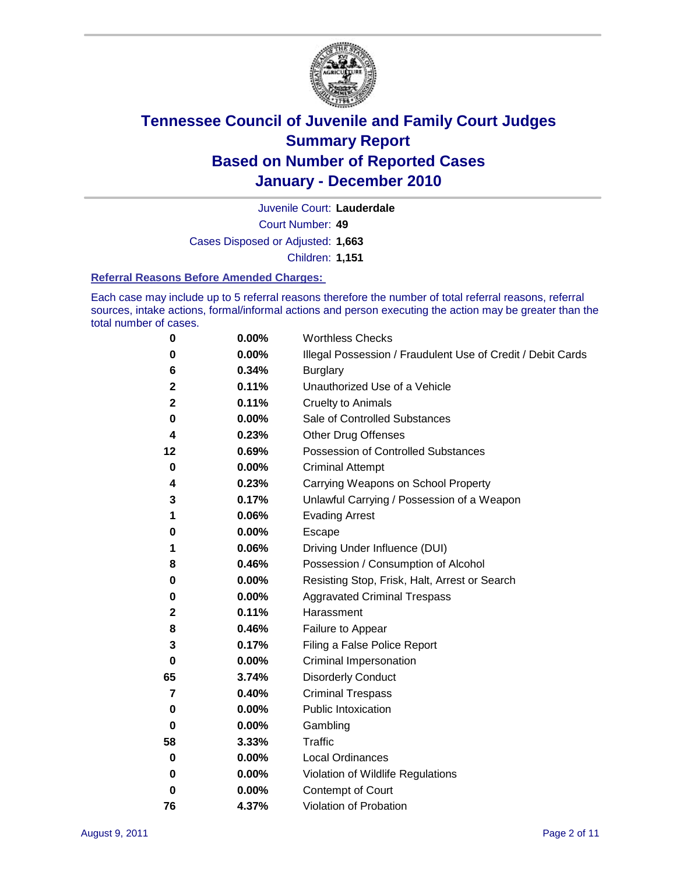

Court Number: **49** Juvenile Court: **Lauderdale** Cases Disposed or Adjusted: **1,663** Children: **1,151**

### **Referral Reasons Before Amended Charges:**

Each case may include up to 5 referral reasons therefore the number of total referral reasons, referral sources, intake actions, formal/informal actions and person executing the action may be greater than the total number of cases.

| 0  | 0.00% | <b>Worthless Checks</b>                                     |
|----|-------|-------------------------------------------------------------|
| 0  | 0.00% | Illegal Possession / Fraudulent Use of Credit / Debit Cards |
| 6  | 0.34% | <b>Burglary</b>                                             |
| 2  | 0.11% | Unauthorized Use of a Vehicle                               |
| 2  | 0.11% | <b>Cruelty to Animals</b>                                   |
| 0  | 0.00% | Sale of Controlled Substances                               |
| 4  | 0.23% | <b>Other Drug Offenses</b>                                  |
| 12 | 0.69% | Possession of Controlled Substances                         |
| 0  | 0.00% | <b>Criminal Attempt</b>                                     |
| 4  | 0.23% | Carrying Weapons on School Property                         |
| 3  | 0.17% | Unlawful Carrying / Possession of a Weapon                  |
| 1  | 0.06% | <b>Evading Arrest</b>                                       |
| 0  | 0.00% | Escape                                                      |
| 1  | 0.06% | Driving Under Influence (DUI)                               |
| 8  | 0.46% | Possession / Consumption of Alcohol                         |
| 0  | 0.00% | Resisting Stop, Frisk, Halt, Arrest or Search               |
| 0  | 0.00% | <b>Aggravated Criminal Trespass</b>                         |
| 2  | 0.11% | Harassment                                                  |
| 8  | 0.46% | Failure to Appear                                           |
| 3  | 0.17% | Filing a False Police Report                                |
| 0  | 0.00% | Criminal Impersonation                                      |
| 65 | 3.74% | <b>Disorderly Conduct</b>                                   |
| 7  | 0.40% | <b>Criminal Trespass</b>                                    |
| 0  | 0.00% | <b>Public Intoxication</b>                                  |
| 0  | 0.00% | Gambling                                                    |
| 58 | 3.33% | Traffic                                                     |
| 0  | 0.00% | <b>Local Ordinances</b>                                     |
| 0  | 0.00% | Violation of Wildlife Regulations                           |
| 0  | 0.00% | Contempt of Court                                           |
| 76 | 4.37% | Violation of Probation                                      |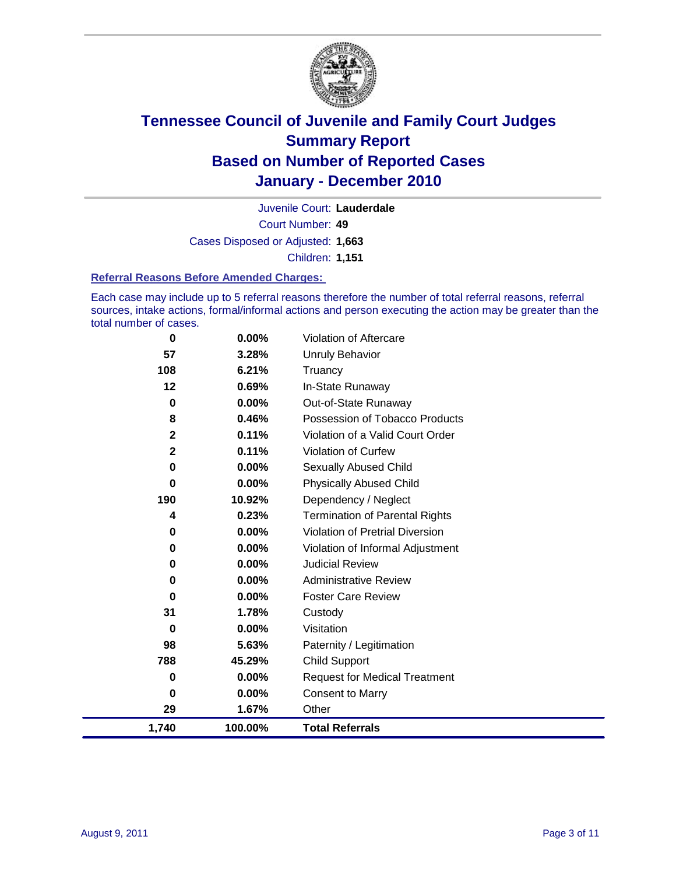

Court Number: **49** Juvenile Court: **Lauderdale** Cases Disposed or Adjusted: **1,663** Children: **1,151**

### **Referral Reasons Before Amended Charges:**

Each case may include up to 5 referral reasons therefore the number of total referral reasons, referral sources, intake actions, formal/informal actions and person executing the action may be greater than the total number of cases.

| 0                       | 0.00%   | Violation of Aftercare                 |
|-------------------------|---------|----------------------------------------|
| 57                      | 3.28%   | <b>Unruly Behavior</b>                 |
| 108                     | 6.21%   | Truancy                                |
| 12                      | 0.69%   | In-State Runaway                       |
| 0                       | 0.00%   | Out-of-State Runaway                   |
| 8                       | 0.46%   | Possession of Tobacco Products         |
| $\mathbf 2$             | 0.11%   | Violation of a Valid Court Order       |
| $\overline{\mathbf{2}}$ | 0.11%   | Violation of Curfew                    |
| $\bf{0}$                | 0.00%   | Sexually Abused Child                  |
| 0                       | 0.00%   | <b>Physically Abused Child</b>         |
| 190                     | 10.92%  | Dependency / Neglect                   |
| 4                       | 0.23%   | <b>Termination of Parental Rights</b>  |
| $\bf{0}$                | 0.00%   | <b>Violation of Pretrial Diversion</b> |
| 0                       | 0.00%   | Violation of Informal Adjustment       |
| 0                       | 0.00%   | <b>Judicial Review</b>                 |
| 0                       | 0.00%   | <b>Administrative Review</b>           |
| 0                       | 0.00%   | <b>Foster Care Review</b>              |
| 31                      | 1.78%   | Custody                                |
| 0                       | 0.00%   | Visitation                             |
| 98                      | 5.63%   | Paternity / Legitimation               |
| 788                     | 45.29%  | Child Support                          |
| 0                       | 0.00%   | <b>Request for Medical Treatment</b>   |
| 0                       | 0.00%   | <b>Consent to Marry</b>                |
| 29                      | 1.67%   | Other                                  |
| 1,740                   | 100.00% | <b>Total Referrals</b>                 |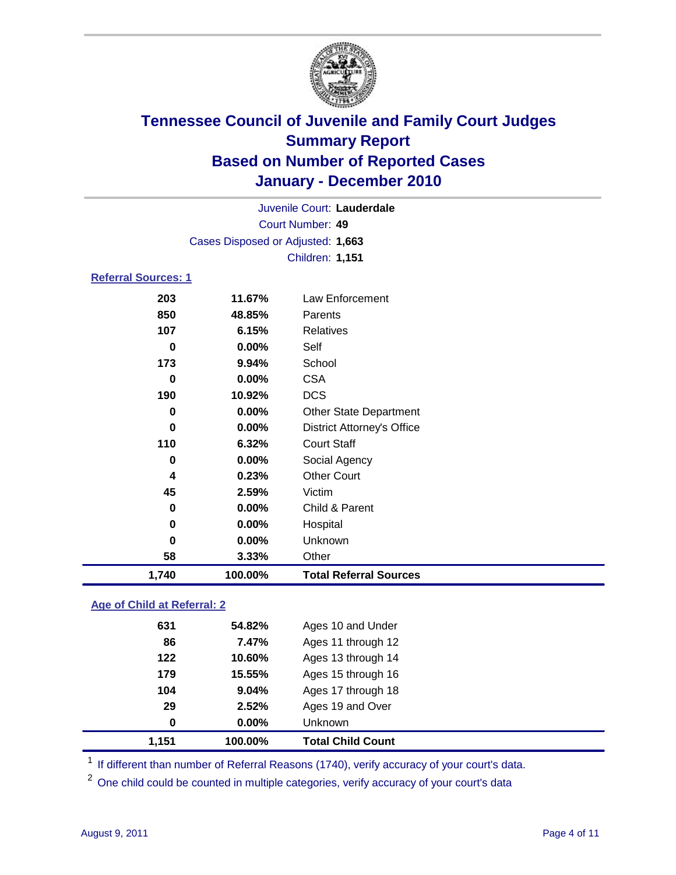

| <b>Court Number: 49</b><br>Cases Disposed or Adjusted: 1,663<br><b>Children: 1,151</b><br><b>Referral Sources: 1</b> |  |
|----------------------------------------------------------------------------------------------------------------------|--|
|                                                                                                                      |  |
|                                                                                                                      |  |
|                                                                                                                      |  |
|                                                                                                                      |  |
| 203<br>Law Enforcement<br>11.67%                                                                                     |  |
| 850<br>48.85%<br>Parents                                                                                             |  |
| 107<br>6.15%<br><b>Relatives</b>                                                                                     |  |
| 0.00%<br>Self<br>0                                                                                                   |  |
| 173<br>9.94%<br>School                                                                                               |  |
| <b>CSA</b><br>0.00%<br>0                                                                                             |  |
| 190<br><b>DCS</b><br>10.92%                                                                                          |  |
| 0.00%<br><b>Other State Department</b><br>0                                                                          |  |
| 0.00%<br><b>District Attorney's Office</b><br>$\bf{0}$                                                               |  |
| <b>Court Staff</b><br>110<br>6.32%                                                                                   |  |
| 0.00%<br>Social Agency<br>0                                                                                          |  |
| <b>Other Court</b><br>0.23%<br>4                                                                                     |  |
| 45<br>2.59%<br>Victim                                                                                                |  |
| 0.00%<br>Child & Parent<br>0                                                                                         |  |
| 0.00%<br>$\mathbf 0$<br>Hospital                                                                                     |  |
| 0.00%<br>Unknown<br>0                                                                                                |  |
| 58<br>3.33%<br>Other                                                                                                 |  |
| 1,740<br>100.00%<br><b>Total Referral Sources</b>                                                                    |  |

### **Age of Child at Referral: 2**

| 1,151    | 100.00% | <b>Total Child Count</b> |
|----------|---------|--------------------------|
| $\bf{0}$ | 0.00%   | Unknown                  |
| 29       | 2.52%   | Ages 19 and Over         |
| 104      | 9.04%   | Ages 17 through 18       |
| 179      | 15.55%  | Ages 15 through 16       |
| 122      | 10.60%  | Ages 13 through 14       |
| 86       | 7.47%   | Ages 11 through 12       |
| 631      | 54.82%  | Ages 10 and Under        |
|          |         |                          |

<sup>1</sup> If different than number of Referral Reasons (1740), verify accuracy of your court's data.

<sup>2</sup> One child could be counted in multiple categories, verify accuracy of your court's data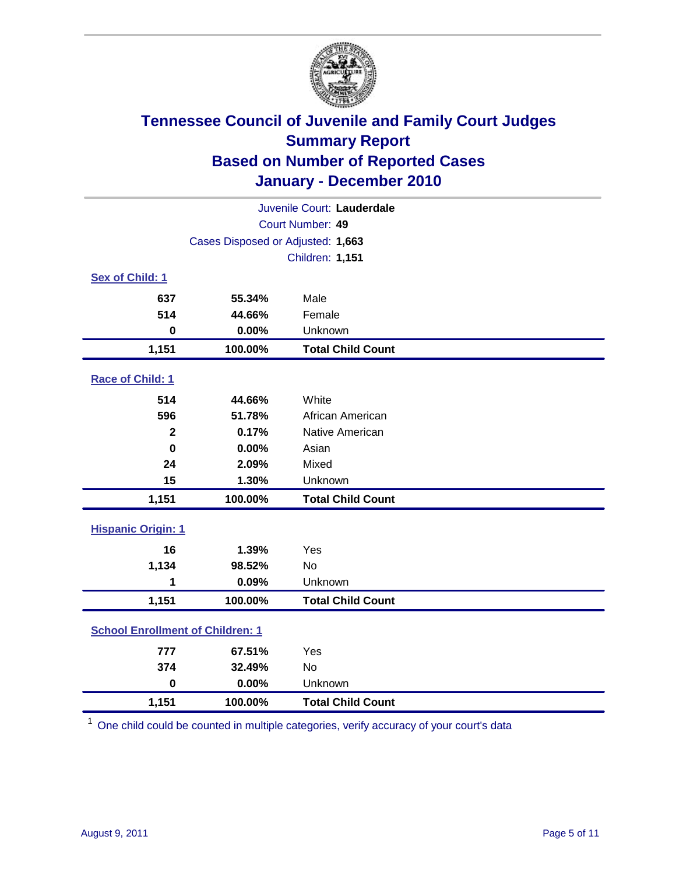

| Juvenile Court: Lauderdale              |                                   |                          |  |  |
|-----------------------------------------|-----------------------------------|--------------------------|--|--|
| Court Number: 49                        |                                   |                          |  |  |
|                                         | Cases Disposed or Adjusted: 1,663 |                          |  |  |
|                                         | Children: 1,151                   |                          |  |  |
| Sex of Child: 1                         |                                   |                          |  |  |
| 637                                     | 55.34%                            | Male                     |  |  |
| 514                                     | 44.66%                            | Female                   |  |  |
| $\mathbf 0$                             | 0.00%                             | Unknown                  |  |  |
| 1,151                                   | 100.00%                           | <b>Total Child Count</b> |  |  |
| Race of Child: 1                        |                                   |                          |  |  |
| 514                                     | 44.66%                            | White                    |  |  |
| 596                                     | 51.78%                            | African American         |  |  |
| $\mathbf{2}$                            | 0.17%                             | Native American          |  |  |
| $\mathbf 0$                             | 0.00%                             | Asian                    |  |  |
| 24                                      | 2.09%                             | Mixed                    |  |  |
| 15                                      | 1.30%                             | Unknown                  |  |  |
| 1,151                                   | 100.00%                           | <b>Total Child Count</b> |  |  |
| <b>Hispanic Origin: 1</b>               |                                   |                          |  |  |
| 16                                      | 1.39%                             | Yes                      |  |  |
| 1,134                                   | 98.52%                            | No                       |  |  |
| 1                                       | 0.09%                             | Unknown                  |  |  |
| 1,151                                   | 100.00%                           | <b>Total Child Count</b> |  |  |
| <b>School Enrollment of Children: 1</b> |                                   |                          |  |  |
| 777                                     | 67.51%                            | Yes                      |  |  |
| 374                                     | 32.49%                            | <b>No</b>                |  |  |
| $\mathbf 0$                             | 0.00%                             | Unknown                  |  |  |
| 1,151                                   | 100.00%                           | <b>Total Child Count</b> |  |  |

<sup>1</sup> One child could be counted in multiple categories, verify accuracy of your court's data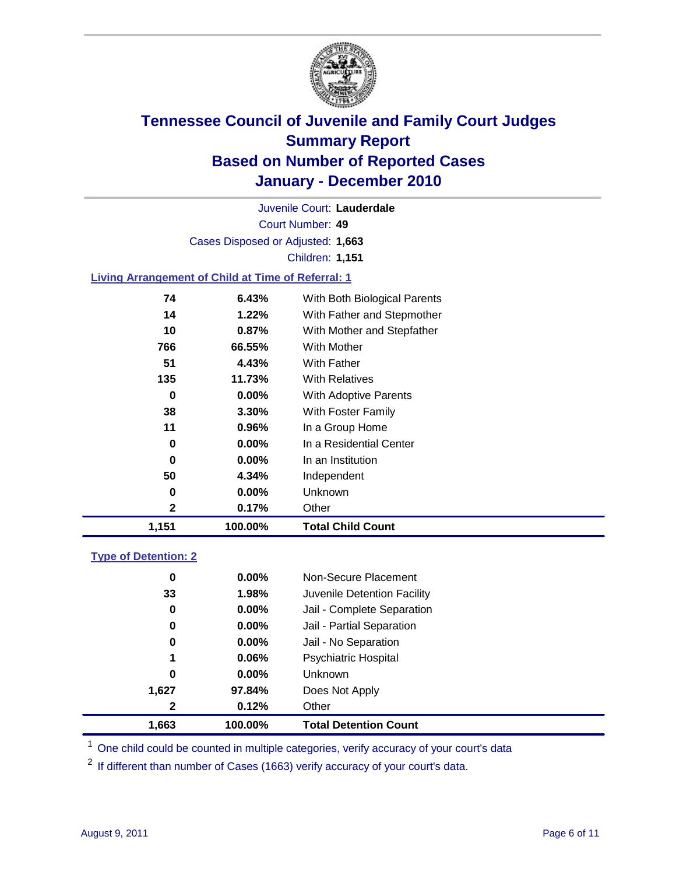

Court Number: **49** Juvenile Court: **Lauderdale** Cases Disposed or Adjusted: **1,663** Children: **1,151**

### **Living Arrangement of Child at Time of Referral: 1**

| 1,151 | 100.00%  | <b>Total Child Count</b>     |
|-------|----------|------------------------------|
| 2     | 0.17%    | Other                        |
| 0     | $0.00\%$ | Unknown                      |
| 50    | 4.34%    | Independent                  |
| 0     | $0.00\%$ | In an Institution            |
| 0     | $0.00\%$ | In a Residential Center      |
| 11    | $0.96\%$ | In a Group Home              |
| 38    | 3.30%    | With Foster Family           |
| 0     | $0.00\%$ | With Adoptive Parents        |
| 135   | 11.73%   | <b>With Relatives</b>        |
| 51    | 4.43%    | <b>With Father</b>           |
| 766   | 66.55%   | <b>With Mother</b>           |
| 10    | 0.87%    | With Mother and Stepfather   |
| 14    | 1.22%    | With Father and Stepmother   |
| 74    | 6.43%    | With Both Biological Parents |
|       |          |                              |

### **Type of Detention: 2**

| 1,663        | 100.00%  | <b>Total Detention Count</b> |  |
|--------------|----------|------------------------------|--|
| $\mathbf{2}$ | 0.12%    | Other                        |  |
| 1,627        | 97.84%   | Does Not Apply               |  |
| 0            | $0.00\%$ | Unknown                      |  |
| 1            | 0.06%    | <b>Psychiatric Hospital</b>  |  |
| 0            | 0.00%    | Jail - No Separation         |  |
| 0            | $0.00\%$ | Jail - Partial Separation    |  |
| 0            | 0.00%    | Jail - Complete Separation   |  |
| 33           | 1.98%    | Juvenile Detention Facility  |  |
| 0            | $0.00\%$ | Non-Secure Placement         |  |
|              |          |                              |  |

<sup>1</sup> One child could be counted in multiple categories, verify accuracy of your court's data

<sup>2</sup> If different than number of Cases (1663) verify accuracy of your court's data.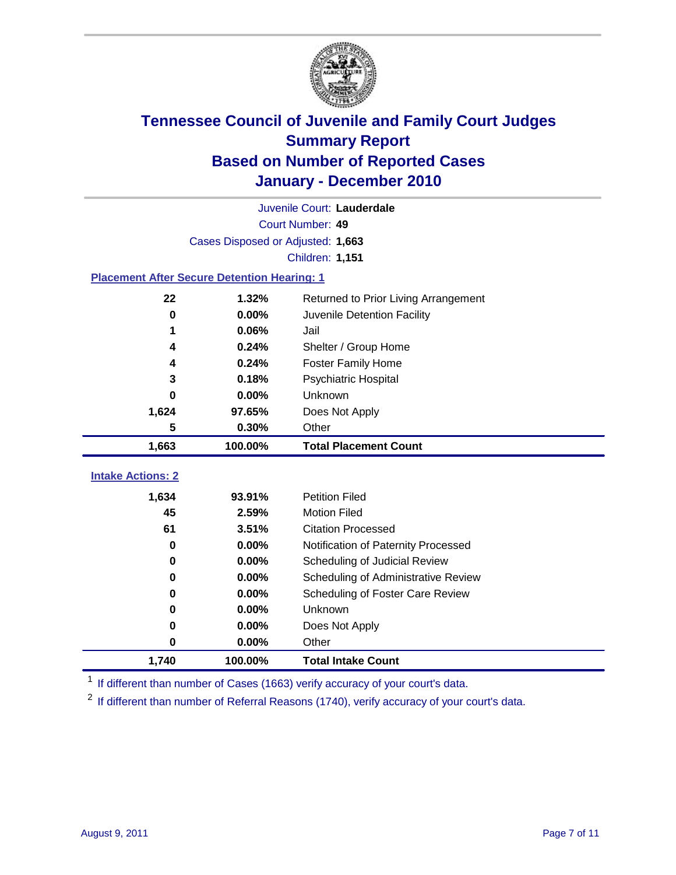

| Juvenile Court: Lauderdale                         |                                   |                                      |  |  |  |
|----------------------------------------------------|-----------------------------------|--------------------------------------|--|--|--|
|                                                    | Court Number: 49                  |                                      |  |  |  |
|                                                    | Cases Disposed or Adjusted: 1,663 |                                      |  |  |  |
|                                                    | <b>Children: 1,151</b>            |                                      |  |  |  |
| <b>Placement After Secure Detention Hearing: 1</b> |                                   |                                      |  |  |  |
| 22                                                 | 1.32%                             | Returned to Prior Living Arrangement |  |  |  |
| 0                                                  | 0.00%                             | Juvenile Detention Facility          |  |  |  |
| 1                                                  | 0.06%                             | Jail                                 |  |  |  |
| 4                                                  | 0.24%                             | Shelter / Group Home                 |  |  |  |
| 4                                                  | 0.24%                             | <b>Foster Family Home</b>            |  |  |  |
| 3                                                  | 0.18%                             | Psychiatric Hospital                 |  |  |  |
| 0                                                  | 0.00%                             | Unknown                              |  |  |  |
| 1,624                                              | 97.65%                            | Does Not Apply                       |  |  |  |
| 5                                                  | 0.30%                             | Other                                |  |  |  |
| 1,663                                              | 100.00%                           | <b>Total Placement Count</b>         |  |  |  |
| <b>Intake Actions: 2</b>                           |                                   |                                      |  |  |  |
|                                                    |                                   |                                      |  |  |  |
| 1,634                                              | 93.91%                            | <b>Petition Filed</b>                |  |  |  |
| 45                                                 | 2.59%                             | <b>Motion Filed</b>                  |  |  |  |
| 61                                                 | 3.51%                             | <b>Citation Processed</b>            |  |  |  |
| 0                                                  | 0.00%                             | Notification of Paternity Processed  |  |  |  |
| 0                                                  | 0.00%                             | Scheduling of Judicial Review        |  |  |  |
| 0                                                  | 0.00%                             | Scheduling of Administrative Review  |  |  |  |
| 0                                                  | 0.00%                             | Scheduling of Foster Care Review     |  |  |  |
| 0                                                  | 0.00%                             | <b>Unknown</b>                       |  |  |  |
| 0                                                  | 0.00%                             | Does Not Apply                       |  |  |  |
| 0                                                  | 0.00%                             | Other                                |  |  |  |
| 1,740                                              | 100.00%                           | <b>Total Intake Count</b>            |  |  |  |

<sup>1</sup> If different than number of Cases (1663) verify accuracy of your court's data.

<sup>2</sup> If different than number of Referral Reasons (1740), verify accuracy of your court's data.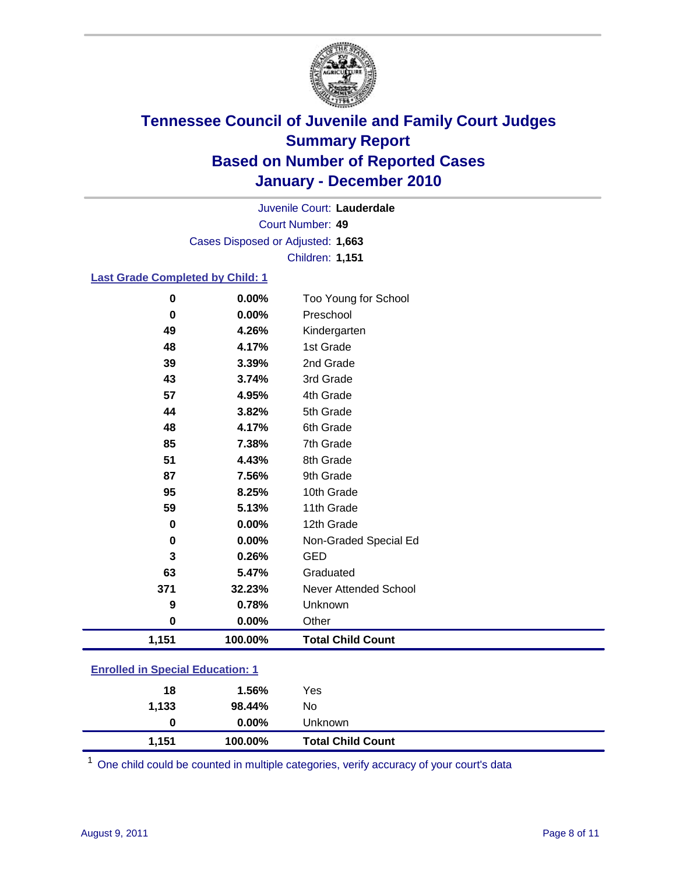

Court Number: **49** Juvenile Court: **Lauderdale** Cases Disposed or Adjusted: **1,663** Children: **1,151**

### **Last Grade Completed by Child: 1**

| 0                                       | 0.00%   | Too Young for School         |  |
|-----------------------------------------|---------|------------------------------|--|
| 0                                       | 0.00%   | Preschool                    |  |
| 49                                      | 4.26%   | Kindergarten                 |  |
| 48                                      | 4.17%   | 1st Grade                    |  |
| 39                                      | 3.39%   | 2nd Grade                    |  |
| 43                                      | 3.74%   | 3rd Grade                    |  |
| 57                                      | 4.95%   | 4th Grade                    |  |
| 44                                      | 3.82%   | 5th Grade                    |  |
| 48                                      | 4.17%   | 6th Grade                    |  |
| 85                                      | 7.38%   | 7th Grade                    |  |
| 51                                      | 4.43%   | 8th Grade                    |  |
| 87                                      | 7.56%   | 9th Grade                    |  |
| 95                                      | 8.25%   | 10th Grade                   |  |
| 59                                      | 5.13%   | 11th Grade                   |  |
| 0                                       | 0.00%   | 12th Grade                   |  |
| 0                                       | 0.00%   | Non-Graded Special Ed        |  |
| 3                                       | 0.26%   | <b>GED</b>                   |  |
| 63                                      | 5.47%   | Graduated                    |  |
| 371                                     | 32.23%  | <b>Never Attended School</b> |  |
| 9                                       | 0.78%   | Unknown                      |  |
| $\mathbf 0$                             | 0.00%   | Other                        |  |
| 1,151                                   | 100.00% | <b>Total Child Count</b>     |  |
| <b>Enrolled in Special Education: 1</b> |         |                              |  |

One child could be counted in multiple categories, verify accuracy of your court's data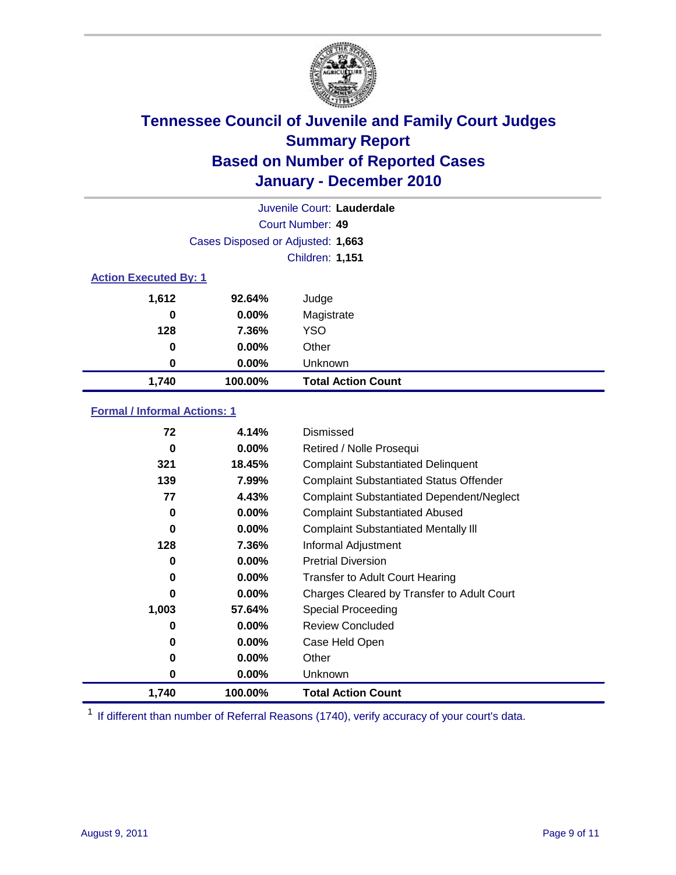

| Juvenile Court: Lauderdale |                                   |                           |  |  |
|----------------------------|-----------------------------------|---------------------------|--|--|
|                            | Court Number: 49                  |                           |  |  |
|                            | Cases Disposed or Adjusted: 1,663 |                           |  |  |
|                            | <b>Children: 1,151</b>            |                           |  |  |
|                            | <b>Action Executed By: 1</b>      |                           |  |  |
| 1,612                      | 92.64%                            | Judge                     |  |  |
| 0                          | $0.00\%$                          | Magistrate                |  |  |
| 128                        | 7.36%                             | <b>YSO</b>                |  |  |
| 0                          | $0.00\%$                          | Other                     |  |  |
| 0                          | 0.00%                             | Unknown                   |  |  |
| 1,740                      | 100.00%                           | <b>Total Action Count</b> |  |  |

### **Formal / Informal Actions: 1**

| 72    | 4.14%    | Dismissed                                        |
|-------|----------|--------------------------------------------------|
| 0     | $0.00\%$ | Retired / Nolle Prosequi                         |
| 321   | 18.45%   | <b>Complaint Substantiated Delinquent</b>        |
| 139   | 7.99%    | <b>Complaint Substantiated Status Offender</b>   |
| 77    | 4.43%    | <b>Complaint Substantiated Dependent/Neglect</b> |
| 0     | $0.00\%$ | <b>Complaint Substantiated Abused</b>            |
| 0     | $0.00\%$ | <b>Complaint Substantiated Mentally III</b>      |
| 128   | 7.36%    | Informal Adjustment                              |
| 0     | $0.00\%$ | <b>Pretrial Diversion</b>                        |
| 0     | $0.00\%$ | <b>Transfer to Adult Court Hearing</b>           |
| 0     | $0.00\%$ | Charges Cleared by Transfer to Adult Court       |
| 1,003 | 57.64%   | <b>Special Proceeding</b>                        |
| 0     | $0.00\%$ | <b>Review Concluded</b>                          |
| 0     | $0.00\%$ | Case Held Open                                   |
| 0     | $0.00\%$ | Other                                            |
| 0     | $0.00\%$ | Unknown                                          |
| 1,740 | 100.00%  | <b>Total Action Count</b>                        |

<sup>1</sup> If different than number of Referral Reasons (1740), verify accuracy of your court's data.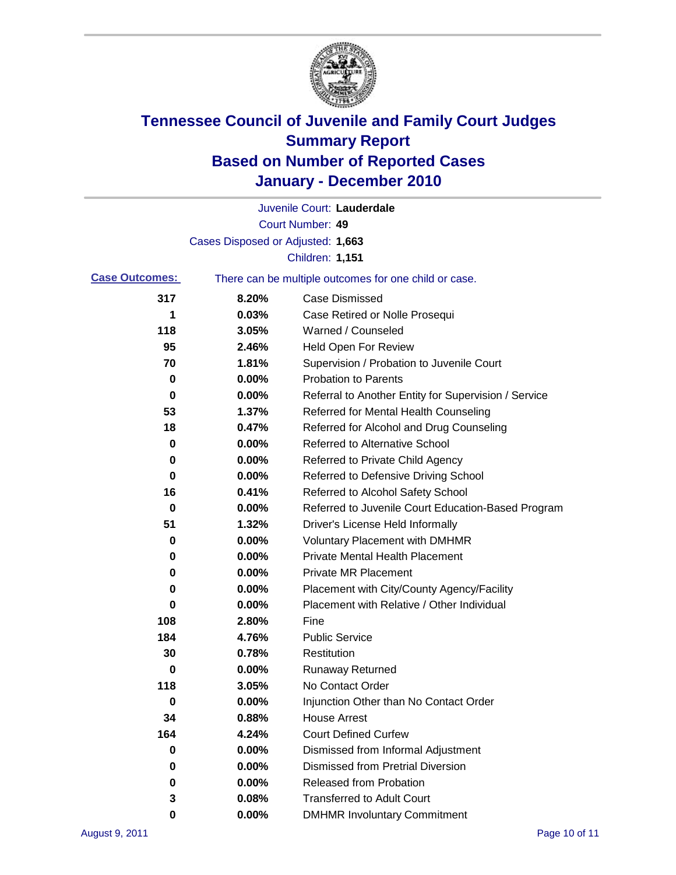

|                       |                                   | Juvenile Court: Lauderdale                            |
|-----------------------|-----------------------------------|-------------------------------------------------------|
|                       |                                   | Court Number: 49                                      |
|                       | Cases Disposed or Adjusted: 1,663 |                                                       |
|                       |                                   | <b>Children: 1,151</b>                                |
| <b>Case Outcomes:</b> |                                   | There can be multiple outcomes for one child or case. |
| 317                   | 8.20%                             | <b>Case Dismissed</b>                                 |
| 1                     | 0.03%                             | Case Retired or Nolle Prosequi                        |
| 118                   | 3.05%                             | Warned / Counseled                                    |
| 95                    | 2.46%                             | <b>Held Open For Review</b>                           |
| 70                    | 1.81%                             | Supervision / Probation to Juvenile Court             |
| 0                     | 0.00%                             | <b>Probation to Parents</b>                           |
| 0                     | 0.00%                             | Referral to Another Entity for Supervision / Service  |
| 53                    | 1.37%                             | Referred for Mental Health Counseling                 |
| 18                    | 0.47%                             | Referred for Alcohol and Drug Counseling              |
| 0                     | 0.00%                             | Referred to Alternative School                        |
| 0                     | 0.00%                             | Referred to Private Child Agency                      |
| 0                     | 0.00%                             | Referred to Defensive Driving School                  |
| 16                    | 0.41%                             | Referred to Alcohol Safety School                     |
| 0                     | 0.00%                             | Referred to Juvenile Court Education-Based Program    |
| 51                    | 1.32%                             | Driver's License Held Informally                      |
| 0                     | 0.00%                             | <b>Voluntary Placement with DMHMR</b>                 |
| 0                     | 0.00%                             | <b>Private Mental Health Placement</b>                |
| 0                     | 0.00%                             | <b>Private MR Placement</b>                           |
| 0                     | 0.00%                             | Placement with City/County Agency/Facility            |
| 0                     | 0.00%                             | Placement with Relative / Other Individual            |
| 108                   | 2.80%                             | Fine                                                  |
| 184                   | 4.76%                             | <b>Public Service</b>                                 |
| 30                    | 0.78%                             | Restitution                                           |
| 0                     | 0.00%                             | <b>Runaway Returned</b>                               |
| 118                   | 3.05%                             | No Contact Order                                      |
| 0                     | 0.00%                             | Injunction Other than No Contact Order                |
| 34                    | 0.88%                             | <b>House Arrest</b>                                   |
| 164                   | 4.24%                             | <b>Court Defined Curfew</b>                           |
| 0                     | 0.00%                             | Dismissed from Informal Adjustment                    |
| 0                     | 0.00%                             | <b>Dismissed from Pretrial Diversion</b>              |
| 0                     | 0.00%                             | <b>Released from Probation</b>                        |
| 3                     | 0.08%                             | <b>Transferred to Adult Court</b>                     |
| 0                     | $0.00\%$                          | <b>DMHMR Involuntary Commitment</b>                   |